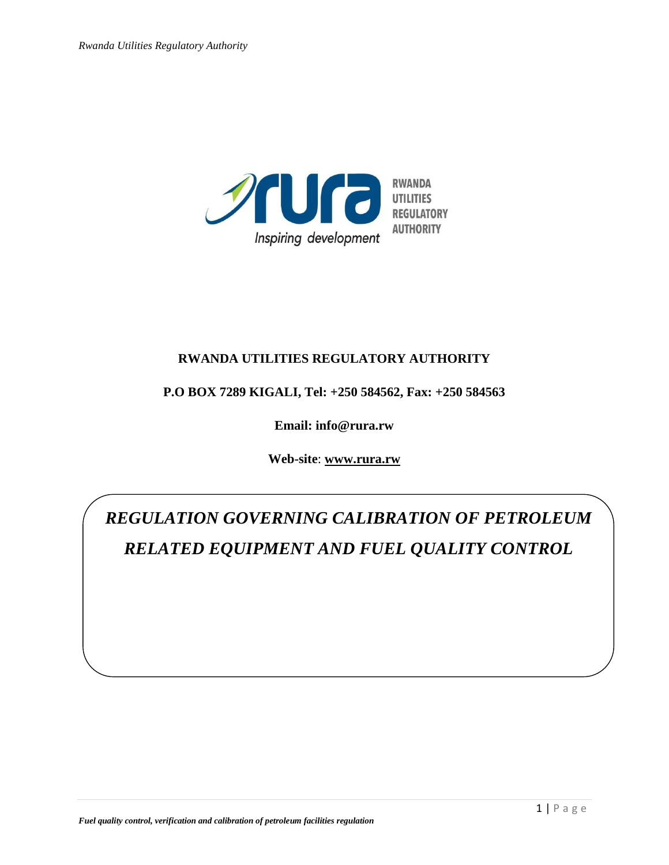

## **RWANDA UTILITIES REGULATORY AUTHORITY**

### **P.O BOX 7289 KIGALI, Tel: +250 584562, Fax: +250 584563**

**Email: info@rura.rw**

**Web-site**: **[www.rura.rw](http://www.rura.rw/)**

*REGULATION GOVERNING CALIBRATION OF PETROLEUM RELATED EQUIPMENT AND FUEL QUALITY CONTROL*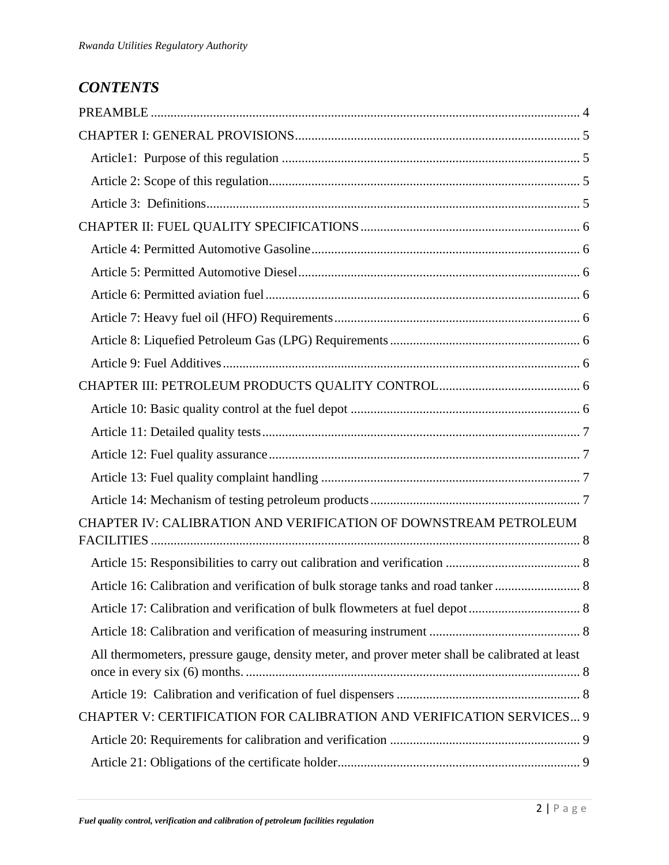# *CONTENTS*

| CHAPTER IV: CALIBRATION AND VERIFICATION OF DOWNSTREAM PETROLEUM                               |  |
|------------------------------------------------------------------------------------------------|--|
|                                                                                                |  |
|                                                                                                |  |
|                                                                                                |  |
|                                                                                                |  |
| All thermometers, pressure gauge, density meter, and prover meter shall be calibrated at least |  |
|                                                                                                |  |
| CHAPTER V: CERTIFICATION FOR CALIBRATION AND VERIFICATION SERVICES 9                           |  |
|                                                                                                |  |
|                                                                                                |  |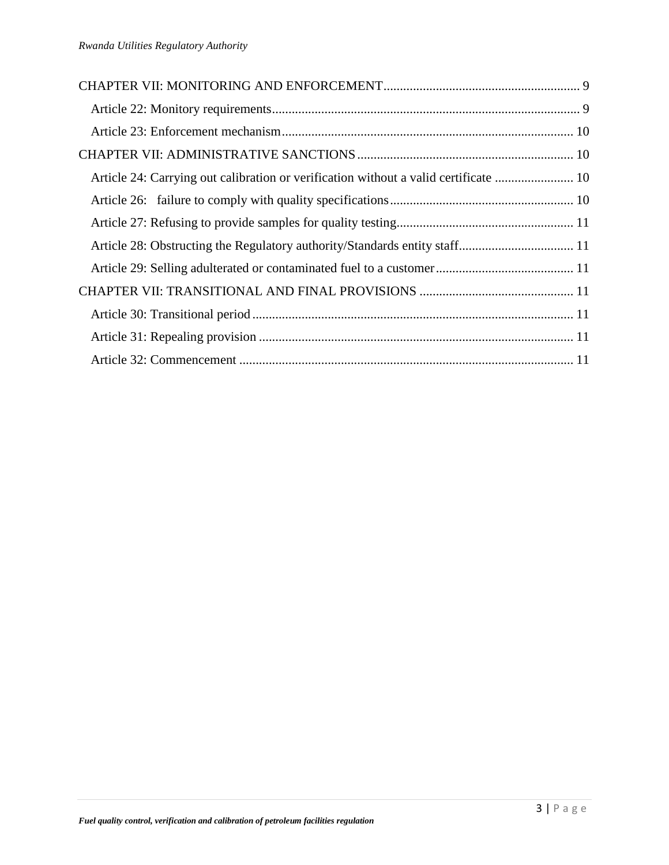| Article 24: Carrying out calibration or verification without a valid certificate  10 |  |
|--------------------------------------------------------------------------------------|--|
|                                                                                      |  |
|                                                                                      |  |
|                                                                                      |  |
|                                                                                      |  |
|                                                                                      |  |
|                                                                                      |  |
|                                                                                      |  |
|                                                                                      |  |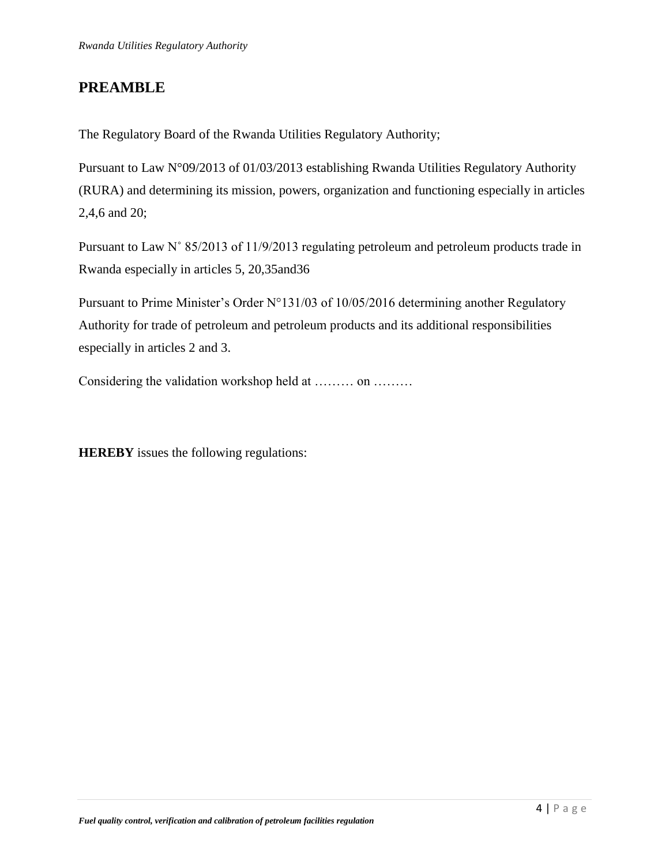## <span id="page-3-0"></span>**PREAMBLE**

The Regulatory Board of the Rwanda Utilities Regulatory Authority;

Pursuant to Law N°09/2013 of 01/03/2013 establishing Rwanda Utilities Regulatory Authority (RURA) and determining its mission, powers, organization and functioning especially in articles 2,4,6 and 20;

Pursuant to Law N˚ 85/2013 of 11/9/2013 regulating petroleum and petroleum products trade in Rwanda especially in articles 5, 20,35and36

Pursuant to Prime Minister's Order N°131/03 of 10/05/2016 determining another Regulatory Authority for trade of petroleum and petroleum products and its additional responsibilities especially in articles 2 and 3.

Considering the validation workshop held at ……… on ………

**HEREBY** issues the following regulations: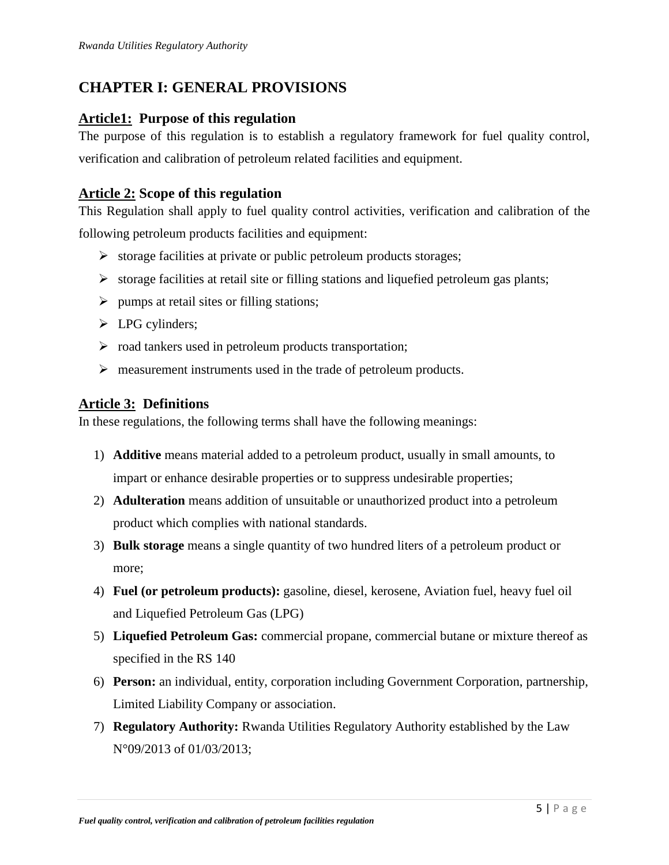# <span id="page-4-0"></span>**CHAPTER I: GENERAL PROVISIONS**

### <span id="page-4-1"></span>**Article1: Purpose of this regulation**

The purpose of this regulation is to establish a regulatory framework for fuel quality control, verification and calibration of petroleum related facilities and equipment.

### <span id="page-4-2"></span>**Article 2: Scope of this regulation**

This Regulation shall apply to fuel quality control activities, verification and calibration of the following petroleum products facilities and equipment:

- $\triangleright$  storage facilities at private or public petroleum products storages;
- $\triangleright$  storage facilities at retail site or filling stations and liquefied petroleum gas plants;
- $\triangleright$  pumps at retail sites or filling stations;
- > LPG cylinders;
- $\triangleright$  road tankers used in petroleum products transportation;
- $\triangleright$  measurement instruments used in the trade of petroleum products.

## <span id="page-4-3"></span>**Article 3: Definitions**

In these regulations, the following terms shall have the following meanings:

- 1) **Additive** means material added to a petroleum product, usually in small amounts, to impart or enhance desirable properties or to suppress undesirable properties;
- 2) **Adulteration** means addition of unsuitable or unauthorized product into a petroleum product which complies with national standards.
- 3) **Bulk storage** means a single quantity of two hundred liters of a petroleum product or more;
- 4) **Fuel (or petroleum products):** gasoline, diesel, kerosene, Aviation fuel, heavy fuel oil and Liquefied Petroleum Gas (LPG)
- 5) **Liquefied Petroleum Gas:** commercial propane, commercial butane or mixture thereof as specified in the RS 140
- 6) **Person:** an individual, entity, corporation including Government Corporation, partnership, Limited Liability Company or association.
- 7) **Regulatory Authority:** Rwanda Utilities Regulatory Authority established by the Law N°09/2013 of 01/03/2013;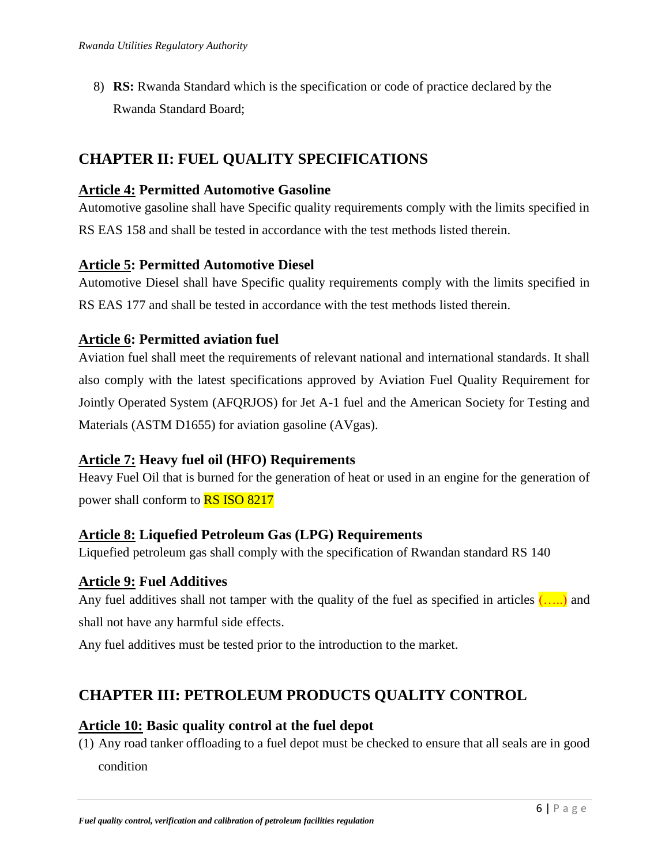8) **RS:** Rwanda Standard which is the specification or code of practice declared by the Rwanda Standard Board;

## <span id="page-5-0"></span>**CHAPTER II: FUEL QUALITY SPECIFICATIONS**

### <span id="page-5-1"></span>**Article 4: Permitted Automotive Gasoline**

Automotive gasoline shall have Specific quality requirements comply with the limits specified in RS EAS 158 and shall be tested in accordance with the test methods listed therein.

### <span id="page-5-2"></span>**Article 5: Permitted Automotive Diesel**

Automotive Diesel shall have Specific quality requirements comply with the limits specified in RS EAS 177 and shall be tested in accordance with the test methods listed therein.

### <span id="page-5-3"></span>**Article 6: Permitted aviation fuel**

Aviation fuel shall meet the requirements of relevant national and international standards. It shall also comply with the latest specifications approved by Aviation Fuel Quality Requirement for Jointly Operated System (AFQRJOS) for Jet A-1 fuel and the American Society for Testing and Materials (ASTM D1655) for aviation gasoline (AVgas).

## <span id="page-5-4"></span>**Article 7: Heavy fuel oil (HFO) Requirements**

Heavy Fuel Oil that is burned for the generation of heat or used in an [engine](https://en.wikipedia.org/wiki/Engine) for the generation of power shall conform to RS ISO 8217

### <span id="page-5-5"></span>**Article 8: Liquefied Petroleum Gas (LPG) Requirements**

Liquefied petroleum gas shall comply with the specification of Rwandan standard RS 140

### <span id="page-5-6"></span>**Article 9: Fuel Additives**

Any fuel additives shall not tamper with the quality of the fuel as specified in articles  $(......)$  and shall not have any harmful side effects.

<span id="page-5-7"></span>Any fuel additives must be tested prior to the introduction to the market.

# **CHAPTER III: PETROLEUM PRODUCTS QUALITY CONTROL**

### <span id="page-5-8"></span>**Article 10: Basic quality control at the fuel depot**

(1) Any road tanker offloading to a fuel depot must be checked to ensure that all seals are in good condition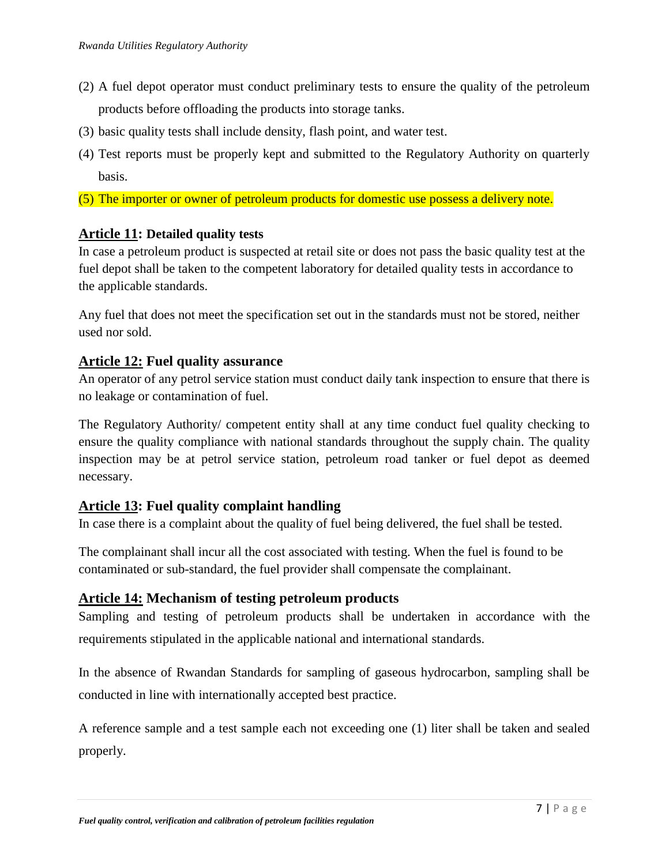- (2) A fuel depot operator must conduct preliminary tests to ensure the quality of the petroleum products before offloading the products into storage tanks.
- (3) basic quality tests shall include density, flash point, and water test.
- (4) Test reports must be properly kept and submitted to the Regulatory Authority on quarterly basis.
- (5) The importer or owner of petroleum products for domestic use possess a delivery note.

#### <span id="page-6-0"></span>**Article 11: Detailed quality tests**

In case a petroleum product is suspected at retail site or does not pass the basic quality test at the fuel depot shall be taken to the competent laboratory for detailed quality tests in accordance to the applicable standards.

Any fuel that does not meet the specification set out in the standards must not be stored, neither used nor sold.

#### <span id="page-6-1"></span>**Article 12: Fuel quality assurance**

An operator of any petrol service station must conduct daily tank inspection to ensure that there is no leakage or contamination of fuel.

The Regulatory Authority/ competent entity shall at any time conduct fuel quality checking to ensure the quality compliance with national standards throughout the supply chain. The quality inspection may be at petrol service station, petroleum road tanker or fuel depot as deemed necessary.

### <span id="page-6-2"></span>**Article 13: Fuel quality complaint handling**

In case there is a complaint about the quality of fuel being delivered, the fuel shall be tested.

The complainant shall incur all the cost associated with testing. When the fuel is found to be contaminated or sub-standard, the fuel provider shall compensate the complainant.

### <span id="page-6-3"></span>**Article 14: Mechanism of testing petroleum products**

Sampling and testing of petroleum products shall be undertaken in accordance with the requirements stipulated in the applicable national and international standards.

In the absence of Rwandan Standards for sampling of gaseous hydrocarbon, sampling shall be conducted in line with internationally accepted best practice.

A reference sample and a test sample each not exceeding one (1) liter shall be taken and sealed properly.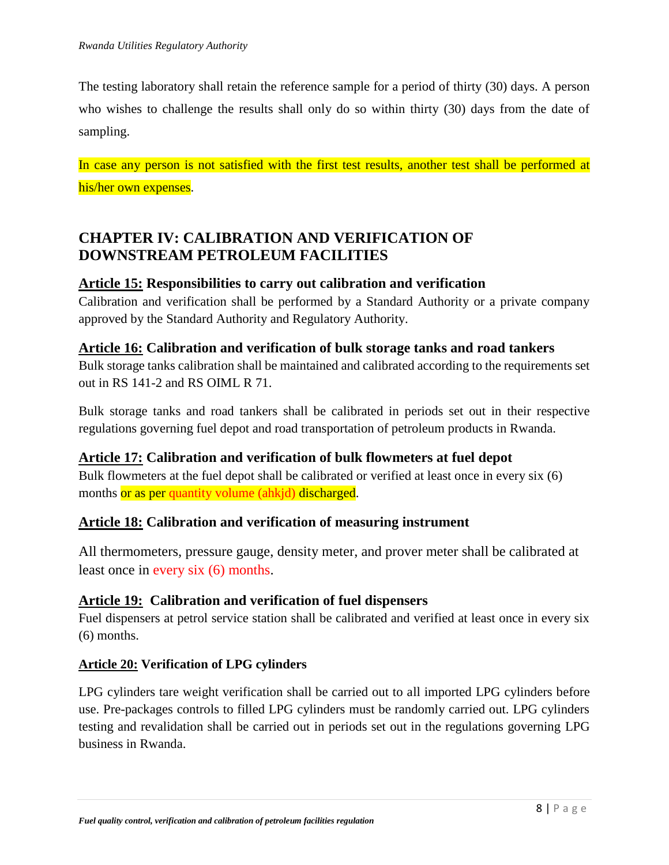The testing laboratory shall retain the reference sample for a period of thirty (30) days. A person who wishes to challenge the results shall only do so within thirty (30) days from the date of sampling.

In case any person is not satisfied with the first test results, another test shall be performed at his/her own expenses.

## <span id="page-7-0"></span>**CHAPTER IV: CALIBRATION AND VERIFICATION OF DOWNSTREAM PETROLEUM FACILITIES**

## <span id="page-7-1"></span>**Article 15: Responsibilities to carry out calibration and verification**

Calibration and verification shall be performed by a Standard Authority or a private company approved by the Standard Authority and Regulatory Authority.

### <span id="page-7-2"></span>**Article 16: Calibration and verification of bulk storage tanks and road tankers**

Bulk storage tanks calibration shall be maintained and calibrated according to the requirements set out in RS 141-2 and RS OIML R 71.

Bulk storage tanks and road tankers shall be calibrated in periods set out in their respective regulations governing fuel depot and road transportation of petroleum products in Rwanda.

### <span id="page-7-3"></span>**Article 17: Calibration and verification of bulk flowmeters at fuel depot**

Bulk flowmeters at the fuel depot shall be calibrated or verified at least once in every six (6) months or as per quantity volume (ahkjd) discharged.

## <span id="page-7-4"></span>**Article 18: Calibration and verification of measuring instrument**

<span id="page-7-5"></span>All thermometers, pressure gauge, density meter, and prover meter shall be calibrated at least once in every six (6) months.

## <span id="page-7-6"></span>**Article 19: Calibration and verification of fuel dispensers**

Fuel dispensers at petrol service station shall be calibrated and verified at least once in every six (6) months.

### **Article 20: Verification of LPG cylinders**

LPG cylinders tare weight verification shall be carried out to all imported LPG cylinders before use. Pre-packages controls to filled LPG cylinders must be randomly carried out. LPG cylinders testing and revalidation shall be carried out in periods set out in the regulations governing LPG business in Rwanda.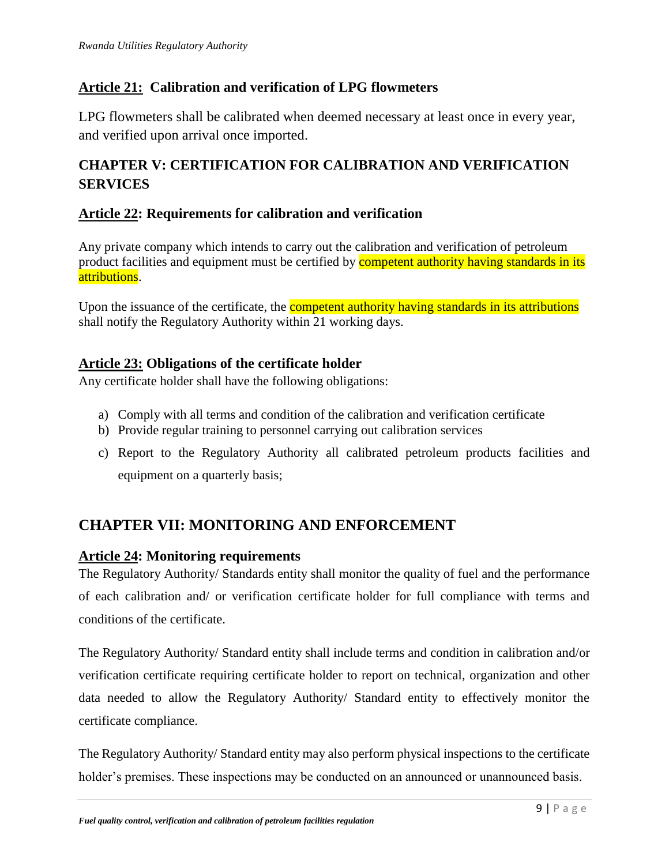### **Article 21: Calibration and verification of LPG flowmeters**

<span id="page-8-0"></span>LPG flowmeters shall be calibrated when deemed necessary at least once in every year, and verified upon arrival once imported.

## **CHAPTER V: CERTIFICATION FOR CALIBRATION AND VERIFICATION SERVICES**

### <span id="page-8-1"></span>**Article 22: Requirements for calibration and verification**

Any private company which intends to carry out the calibration and verification of petroleum product facilities and equipment must be certified by competent authority having standards in its attributions.

Upon the issuance of the certificate, the **competent authority having standards in its attributions** shall notify the Regulatory Authority within 21 working days.

### <span id="page-8-2"></span>**Article 23: Obligations of the certificate holder**

Any certificate holder shall have the following obligations:

- a) Comply with all terms and condition of the calibration and verification certificate
- b) Provide regular training to personnel carrying out calibration services
- c) Report to the Regulatory Authority all calibrated petroleum products facilities and equipment on a quarterly basis;

## <span id="page-8-3"></span>**CHAPTER VII: MONITORING AND ENFORCEMENT**

### <span id="page-8-4"></span>**Article 24: Monitoring requirements**

The Regulatory Authority/ Standards entity shall monitor the quality of fuel and the performance of each calibration and/ or verification certificate holder for full compliance with terms and conditions of the certificate.

The Regulatory Authority/ Standard entity shall include terms and condition in calibration and/or verification certificate requiring certificate holder to report on technical, organization and other data needed to allow the Regulatory Authority/ Standard entity to effectively monitor the certificate compliance.

The Regulatory Authority/ Standard entity may also perform physical inspections to the certificate holder's premises. These inspections may be conducted on an announced or unannounced basis.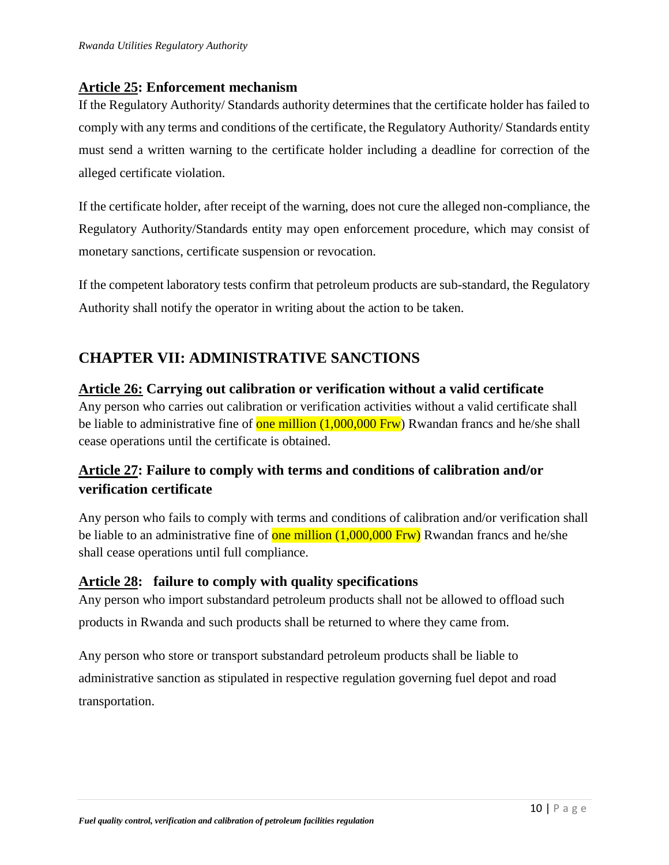### <span id="page-9-0"></span>**Article 25: Enforcement mechanism**

If the Regulatory Authority/ Standards authority determines that the certificate holder has failed to comply with any terms and conditions of the certificate, the Regulatory Authority/ Standards entity must send a written warning to the certificate holder including a deadline for correction of the alleged certificate violation.

If the certificate holder, after receipt of the warning, does not cure the alleged non-compliance, the Regulatory Authority/Standards entity may open enforcement procedure, which may consist of monetary sanctions, certificate suspension or revocation.

If the competent laboratory tests confirm that petroleum products are sub-standard, the Regulatory Authority shall notify the operator in writing about the action to be taken.

## <span id="page-9-1"></span>**CHAPTER VII: ADMINISTRATIVE SANCTIONS**

### <span id="page-9-2"></span>**Article 26: Carrying out calibration or verification without a valid certificate**

Any person who carries out calibration or verification activities without a valid certificate shall be liable to administrative fine of one million  $(1,000,000$  Frw) Rwandan francs and he/she shall cease operations until the certificate is obtained.

## **Article 27: Failure to comply with terms and conditions of calibration and/or verification certificate**

Any person who fails to comply with terms and conditions of calibration and/or verification shall be liable to an administrative fine of one million  $(1,000,000$  Frw) Rwandan francs and he/she shall cease operations until full compliance.

### <span id="page-9-3"></span>**Article 28: failure to comply with quality specifications**

Any person who import substandard petroleum products shall not be allowed to offload such products in Rwanda and such products shall be returned to where they came from.

Any person who store or transport substandard petroleum products shall be liable to administrative sanction as stipulated in respective regulation governing fuel depot and road transportation.